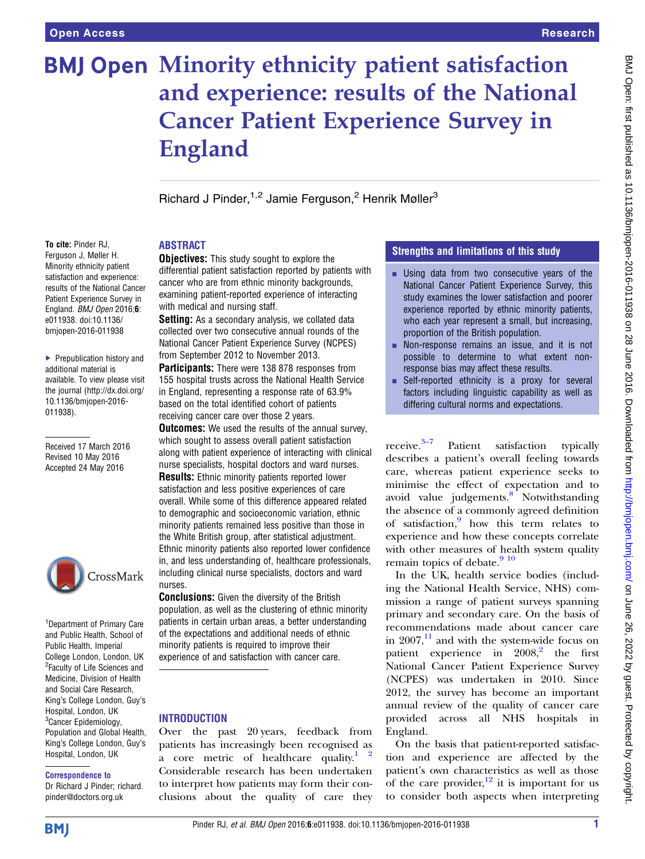# **BMJ Open Minority ethnicity patient satisfaction** and experience: results of the National Cancer Patient Experience Survey in England

Richard J Pinder,<sup>1,2</sup> Jamie Ferguson,<sup>2</sup> Henrik Møller<sup>3</sup>

## ABSTRACT

To cite: Pinder RJ, Ferguson J, Møller H. Minority ethnicity patient satisfaction and experience: results of the National Cancer Patient Experience Survey in England. BMJ Open 2016:6: e011938. doi:10.1136/ bmjopen-2016-011938

▶ Prepublication history and additional material is available. To view please visit the journal [\(http://dx.doi.org/](http://dx.doi.org/10.1136/bmjopen-2016-011938) [10.1136/bmjopen-2016-](http://dx.doi.org/10.1136/bmjopen-2016-011938) [011938\)](http://dx.doi.org/10.1136/bmjopen-2016-011938).

Received 17 March 2016 Revised 10 May 2016 Accepted 24 May 2016



<sup>1</sup>Department of Primary Care and Public Health, School of Public Health, Imperial College London, London, UK <sup>2</sup> Faculty of Life Sciences and Medicine, Division of Health and Social Care Research, King's College London, Guy's Hospital, London, UK <sup>3</sup>Cancer Epidemiology, Population and Global Health, King's College London, Guy's Hospital, London, UK

#### Correspondence to

Dr Richard J Pinder; richard. pinder@doctors.org.uk

**Objectives:** This study sought to explore the differential patient satisfaction reported by patients with cancer who are from ethnic minority backgrounds, examining patient-reported experience of interacting with medical and nursing staff.

**Setting:** As a secondary analysis, we collated data collected over two consecutive annual rounds of the National Cancer Patient Experience Survey (NCPES) from September 2012 to November 2013.

Participants: There were 138 878 responses from 155 hospital trusts across the National Health Service in England, representing a response rate of 63.9% based on the total identified cohort of patients receiving cancer care over those 2 years.

**Outcomes:** We used the results of the annual survey. which sought to assess overall patient satisfaction along with patient experience of interacting with clinical nurse specialists, hospital doctors and ward nurses. **Results:** Ethnic minority patients reported lower satisfaction and less positive experiences of care overall. While some of this difference appeared related to demographic and socioeconomic variation, ethnic minority patients remained less positive than those in the White British group, after statistical adjustment. Ethnic minority patients also reported lower confidence in, and less understanding of, healthcare professionals, including clinical nurse specialists, doctors and ward nurses.

**Conclusions:** Given the diversity of the British population, as well as the clustering of ethnic minority patients in certain urban areas, a better understanding of the expectations and additional needs of ethnic minority patients is required to improve their experience of and satisfaction with cancer care.

#### **INTRODUCTION**

Over the past 20 years, feedback from patients has increasingly been recognised as a core metric of healthcare quality.<sup>1</sup> Considerable research has been undertaken to interpret how patients may form their conclusions about the quality of care they

### Strengths and limitations of this study

- $\blacksquare$  Using data from two consecutive years of the National Cancer Patient Experience Survey, this study examines the lower satisfaction and poorer experience reported by ethnic minority patients, who each year represent a small, but increasing, proportion of the British population.
- **EXECUTE:** Non-response remains an issue, and it is not possible to determine to what extent nonresponse bias may affect these results.
- $\blacksquare$  Self-reported ethnicity is a proxy for several factors including linguistic capability as well as differing cultural norms and expectations.

receive. $3-7$  Patient satisfaction typically describes a patient's overall feeling towards care, whereas patient experience seeks to minimise the effect of expectation and to avoid value judgements.<sup>8</sup> Notwithstanding the absence of a commonly agreed definition of satisfaction, $\frac{9}{5}$  $\frac{9}{5}$  $\frac{9}{5}$  how this term relates to experience and how these concepts correlate with other measures of health system quality remain topics of debate.<sup>9 10</sup>

In the UK, health service bodies (including the National Health Service, NHS) commission a range of patient surveys spanning primary and secondary care. On the basis of recommendations made about cancer care in  $2007$ ,<sup>[11](#page-7-0)</sup> and with the system-wide focus on patient experience in  $2008<sup>2</sup>$  $2008<sup>2</sup>$ , the first National Cancer Patient Experience Survey (NCPES) was undertaken in 2010. Since 2012, the survey has become an important annual review of the quality of cancer care provided across all NHS hospitals in England.

On the basis that patient-reported satisfaction and experience are affected by the patient's own characteristics as well as those of the care provider, $^{12}$  $^{12}$  $^{12}$  it is important for us to consider both aspects when interpreting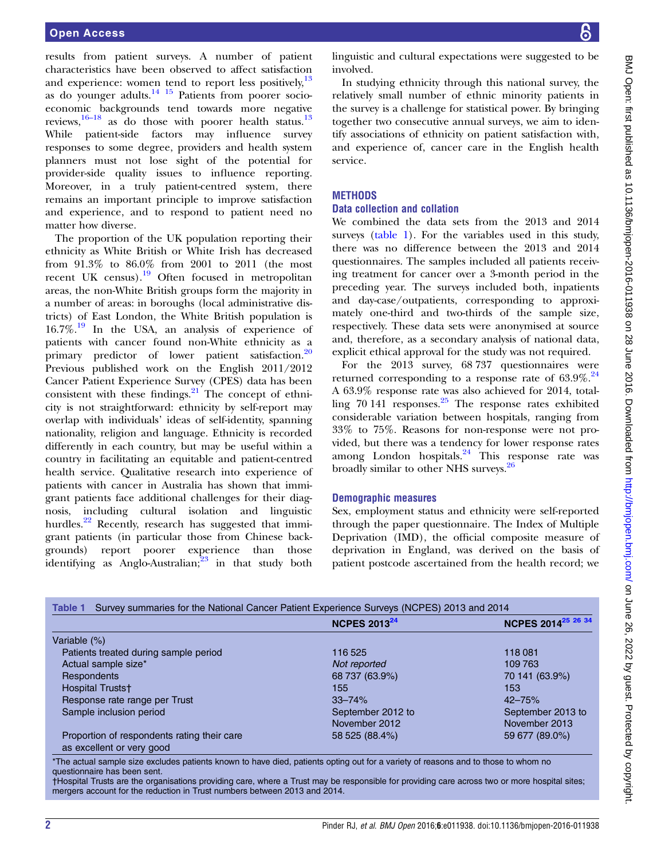<span id="page-1-0"></span>results from patient surveys. A number of patient characteristics have been observed to affect satisfaction and experience: women tend to report less positively,  $13$ as do younger adults. $14 \frac{15}{15}$  Patients from poorer socioeconomic backgrounds tend towards more negative reviews,  $16-18$  $16-18$  as do those with poorer health status.<sup>[13](#page-7-0)</sup> While patient-side factors may influence survey responses to some degree, providers and health system planners must not lose sight of the potential for provider-side quality issues to influence reporting. Moreover, in a truly patient-centred system, there remains an important principle to improve satisfaction and experience, and to respond to patient need no matter how diverse.

The proportion of the UK population reporting their ethnicity as White British or White Irish has decreased from 91.3% to 86.0% from 2001 to 2011 (the most recent UK census).<sup>[19](#page-7-0)</sup> Often focused in metropolitan areas, the non-White British groups form the majority in a number of areas: in boroughs (local administrative districts) of East London, the White British population is  $16.7\%$ .<sup>[19](#page-7-0)</sup> In the USA, an analysis of experience of patients with cancer found non-White ethnicity as a primary predictor of lower patient satisfaction.<sup>[20](#page-7-0)</sup> Previous published work on the English 2011/2012 Cancer Patient Experience Survey (CPES) data has been consistent with these findings. $21$  The concept of ethnicity is not straightforward: ethnicity by self-report may overlap with individuals' ideas of self-identity, spanning nationality, religion and language. Ethnicity is recorded differently in each country, but may be useful within a country in facilitating an equitable and patient-centred health service. Qualitative research into experience of patients with cancer in Australia has shown that immigrant patients face additional challenges for their diagnosis, including cultural isolation and linguistic hurdles. $^{22}$  $^{22}$  $^{22}$  Recently, research has suggested that immigrant patients (in particular those from Chinese backgrounds) report poorer experience than those identifying as Anglo-Australian; $^{23}$  $^{23}$  $^{23}$  in that study both linguistic and cultural expectations were suggested to be involved.

In studying ethnicity through this national survey, the relatively small number of ethnic minority patients in the survey is a challenge for statistical power. By bringing together two consecutive annual surveys, we aim to identify associations of ethnicity on patient satisfaction with, and experience of, cancer care in the English health service.

### **METHODS**

#### Data collection and collation

We combined the data sets from the 2013 and 2014 surveys (table 1). For the variables used in this study, there was no difference between the 2013 and 2014 questionnaires. The samples included all patients receiving treatment for cancer over a 3-month period in the preceding year. The surveys included both, inpatients and day-case/outpatients, corresponding to approximately one-third and two-thirds of the sample size, respectively. These data sets were anonymised at source and, therefore, as a secondary analysis of national data, explicit ethical approval for the study was not required.

For the 2013 survey, 68 737 questionnaires were returned corresponding to a response rate of  $63.9\%$ .<sup>[24](#page-7-0)</sup> A 63.9% response rate was also achieved for 2014, totalling  $70\,141$  responses.<sup>[25](#page-7-0)</sup> The response rates exhibited considerable variation between hospitals, ranging from 33% to 75%. Reasons for non-response were not provided, but there was a tendency for lower response rates among London hospitals. $24$  This response rate was broadly similar to other NHS surveys.<sup>26</sup>

### Demographic measures

Sex, employment status and ethnicity were self-reported through the paper questionnaire. The Index of Multiple Deprivation (IMD), the official composite measure of deprivation in England, was derived on the basis of patient postcode ascertained from the health record; we

| Survey summaries for the National Cancer Patient Experience Surveys (NCPES) 2013 and 2014<br><b>Table 1</b> |                                |                                |  |  |
|-------------------------------------------------------------------------------------------------------------|--------------------------------|--------------------------------|--|--|
|                                                                                                             | <b>NCPES 2013<sup>24</sup></b> | NCPES 2014 <sup>25</sup> 26 34 |  |  |
| Variable (%)                                                                                                |                                |                                |  |  |
| Patients treated during sample period                                                                       | 116 525                        | 118081                         |  |  |
| Actual sample size*                                                                                         | Not reported                   | 109763                         |  |  |
| <b>Respondents</b>                                                                                          | 68 737 (63.9%)                 | 70 141 (63.9%)                 |  |  |
| <b>Hospital Trustst</b>                                                                                     | 155                            | 153                            |  |  |
| Response rate range per Trust                                                                               | $33 - 74%$                     | $42 - 75%$                     |  |  |
| Sample inclusion period                                                                                     | September 2012 to              | September 2013 to              |  |  |
|                                                                                                             | November 2012                  | November 2013                  |  |  |
| Proportion of respondents rating their care<br>as excellent or very good                                    | 58 525 (88.4%)                 | 59 677 (89.0%)                 |  |  |

\*The actual sample size excludes patients known to have died, patients opting out for a variety of reasons and to those to whom no questionnaire has been sent.

†Hospital Trusts are the organisations providing care, where a Trust may be responsible for providing care across two or more hospital sites; mergers account for the reduction in Trust numbers between 2013 and 2014.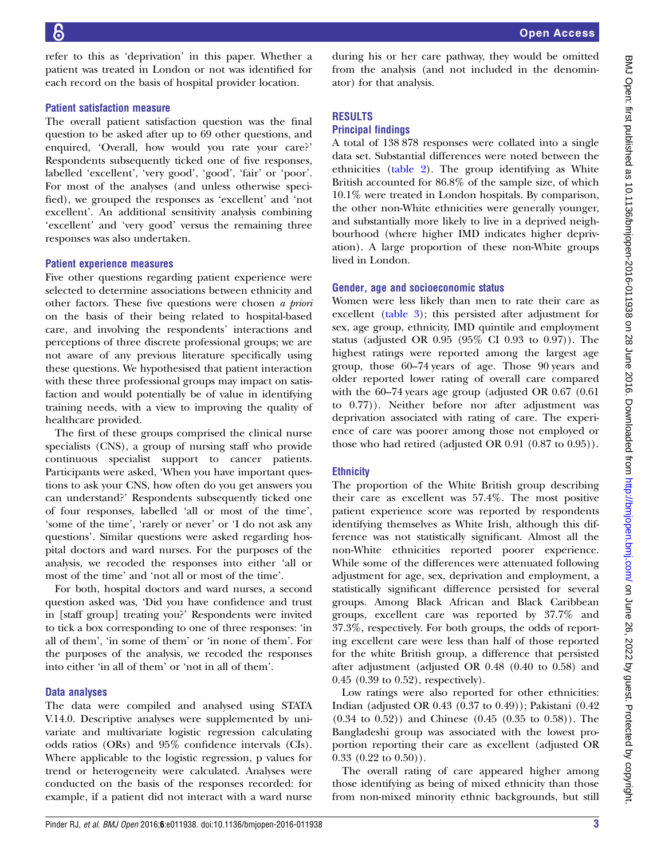refer to this as 'deprivation' in this paper. Whether a patient was treated in London or not was identified for each record on the basis of hospital provider location.

#### Patient satisfaction measure

The overall patient satisfaction question was the final question to be asked after up to 69 other questions, and enquired, 'Overall, how would you rate your care?' Respondents subsequently ticked one of five responses, labelled 'excellent', 'very good', 'good', 'fair' or 'poor'. For most of the analyses (and unless otherwise specified), we grouped the responses as 'excellent' and 'not excellent'. An additional sensitivity analysis combining 'excellent' and 'very good' versus the remaining three responses was also undertaken.

#### Patient experience measures

Five other questions regarding patient experience were selected to determine associations between ethnicity and other factors. These five questions were chosen a priori on the basis of their being related to hospital-based care, and involving the respondents' interactions and perceptions of three discrete professional groups; we are not aware of any previous literature specifically using these questions. We hypothesised that patient interaction with these three professional groups may impact on satisfaction and would potentially be of value in identifying training needs, with a view to improving the quality of healthcare provided.

The first of these groups comprised the clinical nurse specialists (CNS), a group of nursing staff who provide continuous specialist support to cancer patients. Participants were asked, 'When you have important questions to ask your CNS, how often do you get answers you can understand?' Respondents subsequently ticked one of four responses, labelled 'all or most of the time', 'some of the time', 'rarely or never' or 'I do not ask any questions'. Similar questions were asked regarding hospital doctors and ward nurses. For the purposes of the analysis, we recoded the responses into either 'all or most of the time' and 'not all or most of the time'.

For both, hospital doctors and ward nurses, a second question asked was, 'Did you have confidence and trust in [staff group] treating you?' Respondents were invited to tick a box corresponding to one of three responses: 'in all of them', 'in some of them' or 'in none of them'. For the purposes of the analysis, we recoded the responses into either 'in all of them' or 'not in all of them'.

#### Data analyses

The data were compiled and analysed using STATA V.14.0. Descriptive analyses were supplemented by univariate and multivariate logistic regression calculating odds ratios (ORs) and 95% confidence intervals (CIs). Where applicable to the logistic regression, p values for trend or heterogeneity were calculated. Analyses were conducted on the basis of the responses recorded: for example, if a patient did not interact with a ward nurse

during his or her care pathway, they would be omitted from the analysis (and not included in the denominator) for that analysis.

#### RESULTS

#### Principal findings

A total of 138 878 responses were collated into a single data set. Substantial differences were noted between the ethnicities [\(table 2\)](#page-3-0). The group identifying as White British accounted for 86.8% of the sample size, of which 10.1% were treated in London hospitals. By comparison, the other non-White ethnicities were generally younger, and substantially more likely to live in a deprived neighbourhood (where higher IMD indicates higher deprivation). A large proportion of these non-White groups lived in London.

#### Gender, age and socioeconomic status

Women were less likely than men to rate their care as excellent ([table 3](#page-4-0)); this persisted after adjustment for sex, age group, ethnicity, IMD quintile and employment status (adjusted OR 0.95 (95% CI 0.93 to 0.97)). The highest ratings were reported among the largest age group, those 60–74 years of age. Those 90 years and older reported lower rating of overall care compared with the 60–74 years age group (adjusted OR 0.67 (0.61 to 0.77)). Neither before nor after adjustment was deprivation associated with rating of care. The experience of care was poorer among those not employed or those who had retired (adjusted OR 0.91 (0.87 to 0.95)).

#### **Ethnicity**

The proportion of the White British group describing their care as excellent was 57.4%. The most positive patient experience score was reported by respondents identifying themselves as White Irish, although this difference was not statistically significant. Almost all the non-White ethnicities reported poorer experience. While some of the differences were attenuated following adjustment for age, sex, deprivation and employment, a statistically significant difference persisted for several groups. Among Black African and Black Caribbean groups, excellent care was reported by 37.7% and 37.3%, respectively. For both groups, the odds of reporting excellent care were less than half of those reported for the white British group, a difference that persisted after adjustment (adjusted OR 0.48 (0.40 to 0.58) and 0.45 (0.39 to 0.52), respectively).

Low ratings were also reported for other ethnicities: Indian (adjusted OR 0.43 (0.37 to 0.49)); Pakistani (0.42 (0.34 to 0.52)) and Chinese (0.45 (0.35 to 0.58)). The Bangladeshi group was associated with the lowest proportion reporting their care as excellent (adjusted OR  $0.33$   $(0.22 \text{ to } 0.50)$ ).

The overall rating of care appeared higher among those identifying as being of mixed ethnicity than those from non-mixed minority ethnic backgrounds, but still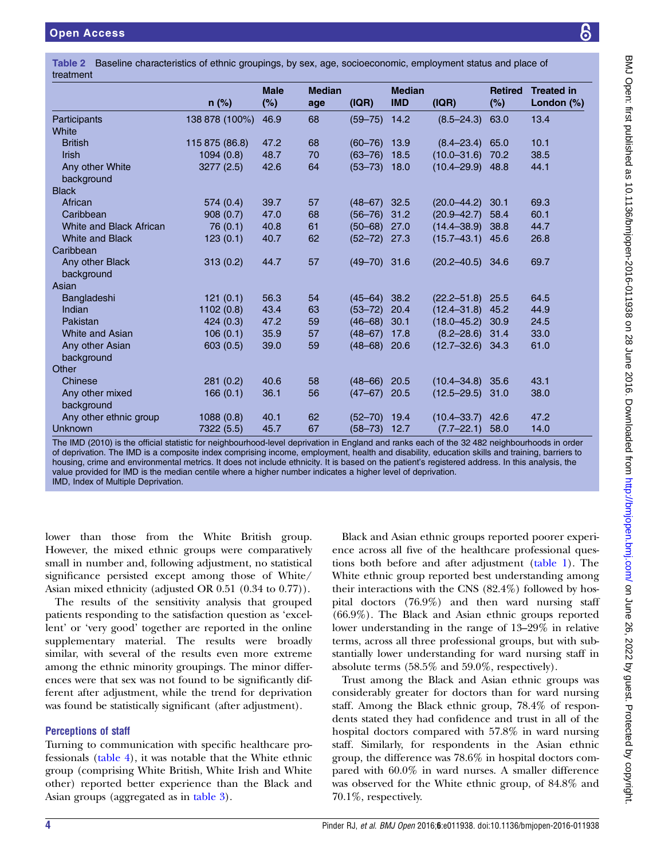<span id="page-3-0"></span>

|           | Table 2 Baseline characteristics of ethnic groupings, by sex, age, socioeconomic, employment status and place of |
|-----------|------------------------------------------------------------------------------------------------------------------|
| treatment |                                                                                                                  |

|                         | $n$ (%)        | <b>Male</b><br>(%) | <b>Median</b><br>age | ( IQR)           | <b>Median</b><br><b>IMD</b> | ( IQR)               | <b>Retired</b><br>$(\%)$ | <b>Treated in</b><br>London $(\%)$ |
|-------------------------|----------------|--------------------|----------------------|------------------|-----------------------------|----------------------|--------------------------|------------------------------------|
|                         |                |                    |                      |                  |                             |                      |                          |                                    |
| Participants            | 138 878 (100%) | 46.9               | 68                   | $(59 - 75)$      | 14.2                        | $(8.5 - 24.3)$       | 63.0                     | 13.4                               |
| White                   |                |                    |                      |                  |                             |                      |                          |                                    |
| <b>British</b>          | 115 875 (86.8) | 47.2               | 68                   | $(60 - 76)$      | 13.9                        | $(8.4 - 23.4)$       | 65.0                     | 10.1                               |
| Irish                   | 1094(0.8)      | 48.7               | 70                   | $(63 - 76)$      | 18.5                        | $(10.0 - 31.6)$      | 70.2                     | 38.5                               |
| Any other White         | 3277 (2.5)     | 42.6               | 64                   | $(53 - 73)$      | 18.0                        | $(10.4 - 29.9)$      | 48.8                     | 44.1                               |
| background              |                |                    |                      |                  |                             |                      |                          |                                    |
| <b>Black</b>            |                |                    |                      |                  |                             |                      |                          |                                    |
| African                 | 574 (0.4)      | 39.7               | 57                   | $(48 - 67)$      | 32.5                        | $(20.0 - 44.2)$      | 30.1                     | 69.3                               |
| Caribbean               | 908(0.7)       | 47.0               | 68                   | $(56 - 76)$      | 31.2                        | $(20.9 - 42.7)$      | 58.4                     | 60.1                               |
| White and Black African | 76 (0.1)       | 40.8               | 61                   | $(50 - 68)$ 27.0 |                             | $(14.4 - 38.9)$      | 38.8                     | 44.7                               |
| <b>White and Black</b>  | 123(0.1)       | 40.7               | 62                   | $(52-72)$ 27.3   |                             | $(15.7 - 43.1)$ 45.6 |                          | 26.8                               |
| Caribbean               |                |                    |                      |                  |                             |                      |                          |                                    |
| Any other Black         | 313(0.2)       | 44.7               | 57                   | $(49 - 70)$ 31.6 |                             | $(20.2 - 40.5)$      | 34.6                     | 69.7                               |
| background              |                |                    |                      |                  |                             |                      |                          |                                    |
| Asian                   |                |                    |                      |                  |                             |                      |                          |                                    |
| Bangladeshi             | 121(0.1)       | 56.3               | 54                   | $(45 - 64)$      | 38.2                        | $(22.2 - 51.8)$      | 25.5                     | 64.5                               |
| Indian                  | 1102(0.8)      | 43.4               | 63                   | $(53 - 72)$      | 20.4                        | $(12.4 - 31.8)$      | 45.2                     | 44.9                               |
| Pakistan                | 424(0.3)       | 47.2               | 59                   | $(46 - 68)$      | 30.1                        | $(18.0 - 45.2)$      | 30.9                     | 24.5                               |
| White and Asian         | 106(0.1)       | 35.9               | 57                   | $(48 - 67)$      | 17.8                        | $(8.2 - 28.6)$       | 31.4                     | 33.0                               |
| Any other Asian         | 603 (0.5)      | 39.0               | 59                   | $(48 - 68)$      | 20.6                        | $(12.7 - 32.6)$      | 34.3                     | 61.0                               |
| background              |                |                    |                      |                  |                             |                      |                          |                                    |
| Other                   |                |                    |                      |                  |                             |                      |                          |                                    |
| Chinese                 | 281(0.2)       | 40.6               | 58                   | $(48 - 66)$      | 20.5                        | $(10.4 - 34.8)$ 35.6 |                          | 43.1                               |
| Any other mixed         | 166(0.1)       | 36.1               | 56                   | $(47 - 67)$      | 20.5                        | $(12.5 - 29.5)$      | 31.0                     | 38.0                               |
| background              |                |                    |                      |                  |                             |                      |                          |                                    |
| Any other ethnic group  | 1088(0.8)      | 40.1               | 62                   | $(52 - 70)$      | 19.4                        | $(10.4 - 33.7)$      | 42.6                     | 47.2                               |
| Unknown                 | 7322 (5.5)     | 45.7               | 67                   | $(58 - 73)$      | 12.7                        | $(7.7 - 22.1)$       | 58.0                     | 14.0                               |

The IMD (2010) is the official statistic for neighbourhood-level deprivation in England and ranks each of the 32 482 neighbourhoods in order of deprivation. The IMD is a composite index comprising income, employment, health and disability, education skills and training, barriers to housing, crime and environmental metrics. It does not include ethnicity. It is based on the patient's registered address. In this analysis, the value provided for IMD is the median centile where a higher number indicates a higher level of deprivation. IMD, Index of Multiple Deprivation.

lower than those from the White British group. However, the mixed ethnic groups were comparatively small in number and, following adjustment, no statistical significance persisted except among those of White/ Asian mixed ethnicity (adjusted OR 0.51 (0.34 to 0.77)).

The results of the sensitivity analysis that grouped patients responding to the satisfaction question as 'excellent' or 'very good' together are reported in the online supplementary material. The results were broadly similar, with several of the results even more extreme among the ethnic minority groupings. The minor differences were that sex was not found to be significantly different after adjustment, while the trend for deprivation was found be statistically significant (after adjustment).

#### Perceptions of staff

Turning to communication with specific healthcare professionals [\(table 4\)](#page-5-0), it was notable that the White ethnic group (comprising White British, White Irish and White other) reported better experience than the Black and Asian groups (aggregated as in [table 3\)](#page-4-0).

Black and Asian ethnic groups reported poorer experience across all five of the healthcare professional questions both before and after adjustment [\(table 1](#page-1-0)). The White ethnic group reported best understanding among their interactions with the CNS (82.4%) followed by hospital doctors (76.9%) and then ward nursing staff (66.9%). The Black and Asian ethnic groups reported lower understanding in the range of 13–29% in relative terms, across all three professional groups, but with substantially lower understanding for ward nursing staff in absolute terms (58.5% and 59.0%, respectively).

Trust among the Black and Asian ethnic groups was considerably greater for doctors than for ward nursing staff. Among the Black ethnic group, 78.4% of respondents stated they had confidence and trust in all of the hospital doctors compared with 57.8% in ward nursing staff. Similarly, for respondents in the Asian ethnic group, the difference was 78.6% in hospital doctors compared with 60.0% in ward nurses. A smaller difference was observed for the White ethnic group, of 84.8% and 70.1%, respectively.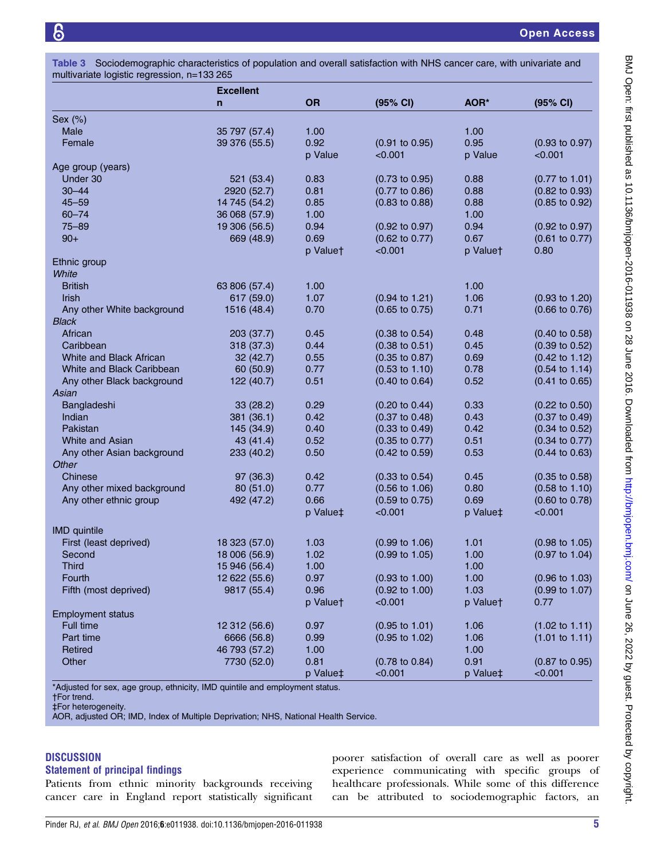<span id="page-4-0"></span>Table 3 Sociodemographic characteristics of population and overall satisfaction with NHS cancer care, with univariate and multivariate logistic regression, n=133 265

|                            | <b>Excellent</b> |           |                           |          |                           |
|----------------------------|------------------|-----------|---------------------------|----------|---------------------------|
|                            | n.               | <b>OR</b> | (95% CI)                  | AOR*     | (95% CI)                  |
| Sex (%)                    |                  |           |                           |          |                           |
| <b>Male</b>                | 35 797 (57.4)    | 1.00      |                           | 1.00     |                           |
| Female                     | 39 376 (55.5)    | 0.92      | $(0.91$ to $0.95)$        | 0.95     | $(0.93 \text{ to } 0.97)$ |
|                            |                  | p Value   | < 0.001                   | p Value  | < 0.001                   |
| Age group (years)          |                  |           |                           |          |                           |
| Under 30                   | 521 (53.4)       | 0.83      | $(0.73 \text{ to } 0.95)$ | 0.88     | $(0.77 \text{ to } 1.01)$ |
| $30 - 44$                  | 2920 (52.7)      | 0.81      | $(0.77 \text{ to } 0.86)$ | 0.88     | $(0.82 \text{ to } 0.93)$ |
| $45 - 59$                  | 14 745 (54.2)    | 0.85      | $(0.83 \text{ to } 0.88)$ | 0.88     | $(0.85 \text{ to } 0.92)$ |
| $60 - 74$                  | 36 068 (57.9)    | 1.00      |                           | 1.00     |                           |
| $75 - 89$                  | 19 306 (56.5)    | 0.94      | $(0.92 \text{ to } 0.97)$ | 0.94     | $(0.92 \text{ to } 0.97)$ |
| $90+$                      | 669 (48.9)       | 0.69      | $(0.62 \text{ to } 0.77)$ | 0.67     | $(0.61 \text{ to } 0.77)$ |
|                            |                  | p Valuet  | < 0.001                   | p Valuet | 0.80                      |
| Ethnic group               |                  |           |                           |          |                           |
| White                      |                  |           |                           |          |                           |
| <b>British</b>             | 63 806 (57.4)    | 1.00      |                           | 1.00     |                           |
| <b>Irish</b>               | 617 (59.0)       | 1.07      | $(0.94 \text{ to } 1.21)$ | 1.06     | $(0.93 \text{ to } 1.20)$ |
| Any other White background | 1516 (48.4)      | 0.70      | $(0.65 \text{ to } 0.75)$ | 0.71     | $(0.66 \text{ to } 0.76)$ |
| Black                      |                  |           |                           |          |                           |
| African                    | 203 (37.7)       | 0.45      | $(0.38 \text{ to } 0.54)$ | 0.48     | $(0.40 \text{ to } 0.58)$ |
| Caribbean                  | 318 (37.3)       | 0.44      | $(0.38 \text{ to } 0.51)$ | 0.45     | $(0.39 \text{ to } 0.52)$ |
| White and Black African    | 32 (42.7)        | 0.55      | $(0.35 \text{ to } 0.87)$ | 0.69     | $(0.42 \text{ to } 1.12)$ |
| White and Black Caribbean  | 60 (50.9)        | 0.77      | $(0.53 \text{ to } 1.10)$ | 0.78     | $(0.54 \text{ to } 1.14)$ |
| Any other Black background | 122 (40.7)       | 0.51      | $(0.40 \text{ to } 0.64)$ | 0.52     | $(0.41 \text{ to } 0.65)$ |
| Asian                      |                  |           |                           |          |                           |
| Bangladeshi                | 33 (28.2)        | 0.29      | $(0.20 \text{ to } 0.44)$ | 0.33     | $(0.22 \text{ to } 0.50)$ |
| Indian                     | 381 (36.1)       | 0.42      | $(0.37 \text{ to } 0.48)$ | 0.43     | $(0.37 \text{ to } 0.49)$ |
| Pakistan                   | 145 (34.9)       | 0.40      | $(0.33 \text{ to } 0.49)$ | 0.42     | $(0.34 \text{ to } 0.52)$ |
| <b>White and Asian</b>     | 43 (41.4)        | 0.52      | $(0.35 \text{ to } 0.77)$ | 0.51     | $(0.34 \text{ to } 0.77)$ |
| Any other Asian background | 233 (40.2)       | 0.50      | $(0.42 \text{ to } 0.59)$ | 0.53     | $(0.44 \text{ to } 0.63)$ |
| Other                      |                  |           |                           |          |                           |
| Chinese                    | 97 (36.3)        | 0.42      | $(0.33 \text{ to } 0.54)$ | 0.45     | $(0.35 \text{ to } 0.58)$ |
| Any other mixed background | 80 (51.0)        | 0.77      | $(0.56 \text{ to } 1.06)$ | 0.80     | $(0.58 \text{ to } 1.10)$ |
| Any other ethnic group     | 492 (47.2)       | 0.66      | $(0.59 \text{ to } 0.75)$ | 0.69     | $(0.60 \text{ to } 0.78)$ |
|                            |                  | p Value‡  | < 0.001                   | p Value‡ | < 0.001                   |
| <b>IMD</b> quintile        |                  |           |                           |          |                           |
| First (least deprived)     | 18 323 (57.0)    | 1.03      | $(0.99 \text{ to } 1.06)$ | 1.01     | $(0.98 \text{ to } 1.05)$ |
| Second                     | 18 006 (56.9)    | 1.02      | $(0.99 \text{ to } 1.05)$ | 1.00     | $(0.97 \text{ to } 1.04)$ |
| <b>Third</b>               | 15 946 (56.4)    | 1.00      |                           | 1.00     |                           |
| Fourth                     | 12 622 (55.6)    | 0.97      | $(0.93 \text{ to } 1.00)$ | 1.00     | $(0.96 \text{ to } 1.03)$ |
| Fifth (most deprived)      | 9817 (55.4)      | 0.96      | $(0.92 \text{ to } 1.00)$ | 1.03     | $(0.99 \text{ to } 1.07)$ |
|                            |                  | p Valuet  | < 0.001                   | p Valuet | 0.77                      |
| <b>Employment status</b>   |                  |           |                           |          |                           |
| Full time                  | 12 312 (56.6)    | 0.97      | $(0.95 \text{ to } 1.01)$ | 1.06     | $(1.02 \text{ to } 1.11)$ |
| Part time                  | 6666 (56.8)      | 0.99      | $(0.95 \text{ to } 1.02)$ | 1.06     | $(1.01 \text{ to } 1.11)$ |
| Retired                    | 46 793 (57.2)    | 1.00      |                           | 1.00     |                           |
| Other                      | 7730 (52.0)      | 0.81      | $(0.78 \text{ to } 0.84)$ | 0.91     | $(0.87 \text{ to } 0.95)$ |
|                            |                  | p Value‡  | < 0.001                   | p Value‡ | < 0.001                   |

\*Adjusted for sex, age group, ethnicity, IMD quintile and employment status.

†For trend.

‡For heterogeneity.

AOR, adjusted OR; IMD, Index of Multiple Deprivation; NHS, National Health Service.

#### **DISCUSSION**

#### Statement of principal findings

Patients from ethnic minority backgrounds receiving cancer care in England report statistically significant poorer satisfaction of overall care as well as poorer experience communicating with specific groups of healthcare professionals. While some of this difference can be attributed to sociodemographic factors, an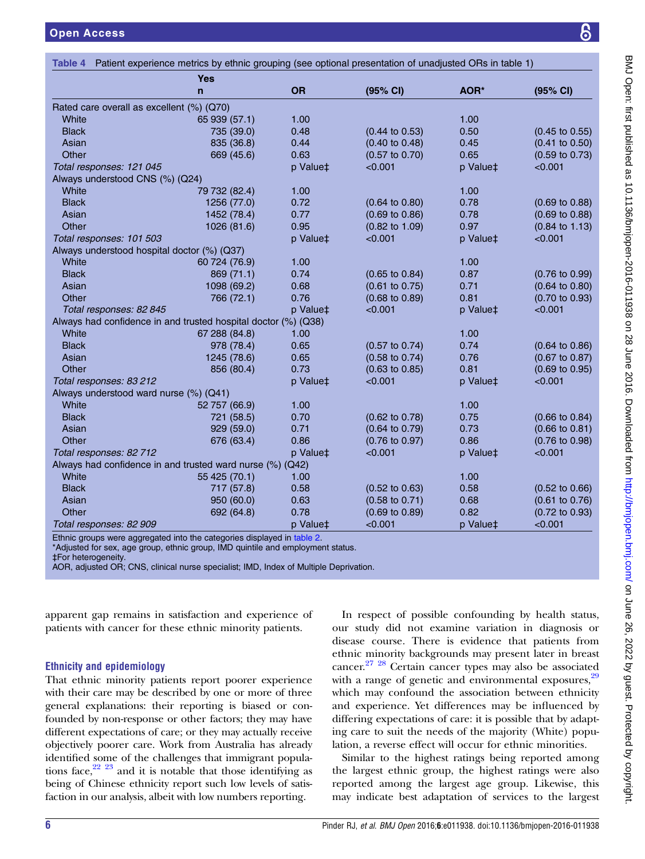<span id="page-5-0"></span>

| Patient experience metrics by ethnic grouping (see optional presentation of unadjusted ORs in table 1)<br><b>Table 4</b> |               |           |                           |          |                           |
|--------------------------------------------------------------------------------------------------------------------------|---------------|-----------|---------------------------|----------|---------------------------|
|                                                                                                                          | <b>Yes</b>    |           |                           |          |                           |
|                                                                                                                          | n             | <b>OR</b> | (95% CI)                  | AOR*     | (95% CI)                  |
| Rated care overall as excellent (%) (Q70)                                                                                |               |           |                           |          |                           |
| White                                                                                                                    | 65 939 (57.1) | 1.00      |                           | 1.00     |                           |
| <b>Black</b>                                                                                                             | 735 (39.0)    | 0.48      | $(0.44 \text{ to } 0.53)$ | 0.50     | $(0.45 \text{ to } 0.55)$ |
| Asian                                                                                                                    | 835 (36.8)    | 0.44      | $(0.40 \text{ to } 0.48)$ | 0.45     | $(0.41 \text{ to } 0.50)$ |
| Other                                                                                                                    | 669 (45.6)    | 0.63      | $(0.57 \text{ to } 0.70)$ | 0.65     | $(0.59 \text{ to } 0.73)$ |
| Total responses: 121 045                                                                                                 |               | p Value‡  | < 0.001                   | p Value‡ | < 0.001                   |
| Always understood CNS (%) (Q24)                                                                                          |               |           |                           |          |                           |
| White                                                                                                                    | 79 732 (82.4) | 1.00      |                           | 1.00     |                           |
| <b>Black</b>                                                                                                             | 1256 (77.0)   | 0.72      | $(0.64 \text{ to } 0.80)$ | 0.78     | $(0.69 \text{ to } 0.88)$ |
| Asian                                                                                                                    | 1452 (78.4)   | 0.77      | $(0.69 \text{ to } 0.86)$ | 0.78     | $(0.69 \text{ to } 0.88)$ |
| Other                                                                                                                    | 1026 (81.6)   | 0.95      | $(0.82 \text{ to } 1.09)$ | 0.97     | $(0.84 \text{ to } 1.13)$ |
| Total responses: 101 503                                                                                                 |               | p Value‡  | < 0.001                   | p Value‡ | < 0.001                   |
| Always understood hospital doctor (%) (Q37)                                                                              |               |           |                           |          |                           |
| White                                                                                                                    | 60 724 (76.9) | 1.00      |                           | 1.00     |                           |
| <b>Black</b>                                                                                                             | 869 (71.1)    | 0.74      | $(0.65 \text{ to } 0.84)$ | 0.87     | $(0.76 \text{ to } 0.99)$ |
| Asian                                                                                                                    | 1098 (69.2)   | 0.68      | $(0.61 \text{ to } 0.75)$ | 0.71     | $(0.64 \text{ to } 0.80)$ |
| Other                                                                                                                    | 766 (72.1)    | 0.76      | $(0.68 \text{ to } 0.89)$ | 0.81     | $(0.70 \text{ to } 0.93)$ |
| Total responses: 82 845                                                                                                  |               | p Value‡  | < 0.001                   | p Value‡ | < 0.001                   |
| Always had confidence in and trusted hospital doctor (%) (Q38)                                                           |               |           |                           |          |                           |
| White                                                                                                                    | 67 288 (84.8) | 1.00      |                           | 1.00     |                           |
| <b>Black</b>                                                                                                             | 978 (78.4)    | 0.65      | $(0.57 \text{ to } 0.74)$ | 0.74     | $(0.64 \text{ to } 0.86)$ |
| Asian                                                                                                                    | 1245 (78.6)   | 0.65      | $(0.58 \text{ to } 0.74)$ | 0.76     | $(0.67 \text{ to } 0.87)$ |
| Other                                                                                                                    | 856 (80.4)    | 0.73      | $(0.63 \text{ to } 0.85)$ | 0.81     | $(0.69 \text{ to } 0.95)$ |
| Total responses: 83 212                                                                                                  |               | p Value‡  | < 0.001                   | p Value‡ | < 0.001                   |
| Always understood ward nurse (%) (Q41)                                                                                   |               |           |                           |          |                           |
| White                                                                                                                    | 52 757 (66.9) | 1.00      |                           | 1.00     |                           |
| <b>Black</b>                                                                                                             | 721 (58.5)    | 0.70      | $(0.62 \text{ to } 0.78)$ | 0.75     | $(0.66 \text{ to } 0.84)$ |
| Asian                                                                                                                    | 929 (59.0)    | 0.71      | $(0.64 \text{ to } 0.79)$ | 0.73     | $(0.66 \text{ to } 0.81)$ |
| Other                                                                                                                    | 676 (63.4)    | 0.86      | $(0.76 \text{ to } 0.97)$ | 0.86     | $(0.76 \text{ to } 0.98)$ |
| Total responses: 82 712                                                                                                  |               | p Value‡  | < 0.001                   | p Value‡ | < 0.001                   |
| Always had confidence in and trusted ward nurse (%) (Q42)                                                                |               |           |                           |          |                           |
| White                                                                                                                    | 55 425 (70.1) | 1.00      |                           | 1.00     |                           |
| <b>Black</b>                                                                                                             | 717 (57.8)    | 0.58      | $(0.52 \text{ to } 0.63)$ | 0.58     | $(0.52 \text{ to } 0.66)$ |
| Asian                                                                                                                    | 950 (60.0)    | 0.63      | $(0.58 \text{ to } 0.71)$ | 0.68     | $(0.61 \text{ to } 0.76)$ |
| Other                                                                                                                    | 692 (64.8)    | 0.78      | $(0.69 \text{ to } 0.89)$ | 0.82     | $(0.72 \text{ to } 0.93)$ |
| Total responses: 82 909                                                                                                  |               | p Value‡  | < 0.001                   | p Value‡ | < 0.001                   |

Ethnic groups were aggregated into the categories displayed in [table 2.](#page-3-0)

\*Adjusted for sex, age group, ethnic group, IMD quintile and employment status.

‡For heterogeneity.

AOR, adjusted OR; CNS, clinical nurse specialist; IMD, Index of Multiple Deprivation.

apparent gap remains in satisfaction and experience of patients with cancer for these ethnic minority patients.

#### Ethnicity and epidemiology

That ethnic minority patients report poorer experience with their care may be described by one or more of three general explanations: their reporting is biased or confounded by non-response or other factors; they may have different expectations of care; or they may actually receive objectively poorer care. Work from Australia has already identified some of the challenges that immigrant populations face, $2^{22}$   $2^{3}$  and it is notable that those identifying as being of Chinese ethnicity report such low levels of satisfaction in our analysis, albeit with low numbers reporting.

In respect of possible confounding by health status, our study did not examine variation in diagnosis or disease course. There is evidence that patients from ethnic minority backgrounds may present later in breast cancer[.27 28](#page-7-0) Certain cancer types may also be associated with a range of genetic and environmental exposures, $29$ which may confound the association between ethnicity and experience. Yet differences may be influenced by differing expectations of care: it is possible that by adapting care to suit the needs of the majority (White) population, a reverse effect will occur for ethnic minorities.

Similar to the highest ratings being reported among the largest ethnic group, the highest ratings were also reported among the largest age group. Likewise, this may indicate best adaptation of services to the largest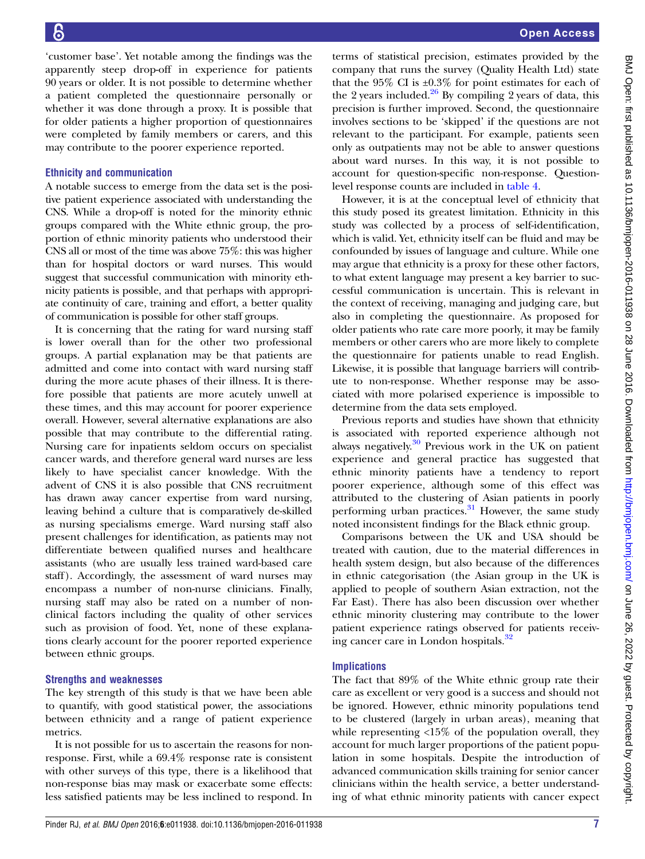'customer base'. Yet notable among the findings was the apparently steep drop-off in experience for patients 90 years or older. It is not possible to determine whether a patient completed the questionnaire personally or whether it was done through a proxy. It is possible that for older patients a higher proportion of questionnaires were completed by family members or carers, and this may contribute to the poorer experience reported.

#### Ethnicity and communication

A notable success to emerge from the data set is the positive patient experience associated with understanding the CNS. While a drop-off is noted for the minority ethnic groups compared with the White ethnic group, the proportion of ethnic minority patients who understood their CNS all or most of the time was above 75%: this was higher than for hospital doctors or ward nurses. This would suggest that successful communication with minority ethnicity patients is possible, and that perhaps with appropriate continuity of care, training and effort, a better quality of communication is possible for other staff groups.

It is concerning that the rating for ward nursing staff is lower overall than for the other two professional groups. A partial explanation may be that patients are admitted and come into contact with ward nursing staff during the more acute phases of their illness. It is therefore possible that patients are more acutely unwell at these times, and this may account for poorer experience overall. However, several alternative explanations are also possible that may contribute to the differential rating. Nursing care for inpatients seldom occurs on specialist cancer wards, and therefore general ward nurses are less likely to have specialist cancer knowledge. With the advent of CNS it is also possible that CNS recruitment has drawn away cancer expertise from ward nursing, leaving behind a culture that is comparatively de-skilled as nursing specialisms emerge. Ward nursing staff also present challenges for identification, as patients may not differentiate between qualified nurses and healthcare assistants (who are usually less trained ward-based care staff). Accordingly, the assessment of ward nurses may encompass a number of non-nurse clinicians. Finally, nursing staff may also be rated on a number of nonclinical factors including the quality of other services such as provision of food. Yet, none of these explanations clearly account for the poorer reported experience between ethnic groups.

#### Strengths and weaknesses

The key strength of this study is that we have been able to quantify, with good statistical power, the associations between ethnicity and a range of patient experience metrics.

It is not possible for us to ascertain the reasons for nonresponse. First, while a 69.4% response rate is consistent with other surveys of this type, there is a likelihood that non-response bias may mask or exacerbate some effects: less satisfied patients may be less inclined to respond. In

terms of statistical precision, estimates provided by the company that runs the survey (Quality Health Ltd) state that the  $95\%$  CI is  $\pm 0.3\%$  for point estimates for each of the 2 years included. $^{26}$  $^{26}$  $^{26}$  By compiling 2 years of data, this precision is further improved. Second, the questionnaire involves sections to be 'skipped' if the questions are not relevant to the participant. For example, patients seen only as outpatients may not be able to answer questions about ward nurses. In this way, it is not possible to account for question-specific non-response. Questionlevel response counts are included in [table 4.](#page-5-0)

However, it is at the conceptual level of ethnicity that this study posed its greatest limitation. Ethnicity in this study was collected by a process of self-identification, which is valid. Yet, ethnicity itself can be fluid and may be confounded by issues of language and culture. While one may argue that ethnicity is a proxy for these other factors, to what extent language may present a key barrier to successful communication is uncertain. This is relevant in the context of receiving, managing and judging care, but also in completing the questionnaire. As proposed for older patients who rate care more poorly, it may be family members or other carers who are more likely to complete the questionnaire for patients unable to read English. Likewise, it is possible that language barriers will contribute to non-response. Whether response may be associated with more polarised experience is impossible to determine from the data sets employed.

Previous reports and studies have shown that ethnicity is associated with reported experience although not always negatively.[30](#page-7-0) Previous work in the UK on patient experience and general practice has suggested that ethnic minority patients have a tendency to report poorer experience, although some of this effect was attributed to the clustering of Asian patients in poorly performing urban practices. $31$  However, the same study noted inconsistent findings for the Black ethnic group.

Comparisons between the UK and USA should be treated with caution, due to the material differences in health system design, but also because of the differences in ethnic categorisation (the Asian group in the UK is applied to people of southern Asian extraction, not the Far East). There has also been discussion over whether ethnic minority clustering may contribute to the lower patient experience ratings observed for patients receiv-ing cancer care in London hospitals.<sup>[32](#page-7-0)</sup>

#### **Implications**

The fact that 89% of the White ethnic group rate their care as excellent or very good is a success and should not be ignored. However, ethnic minority populations tend to be clustered (largely in urban areas), meaning that while representing <15% of the population overall, they account for much larger proportions of the patient population in some hospitals. Despite the introduction of advanced communication skills training for senior cancer clinicians within the health service, a better understanding of what ethnic minority patients with cancer expect